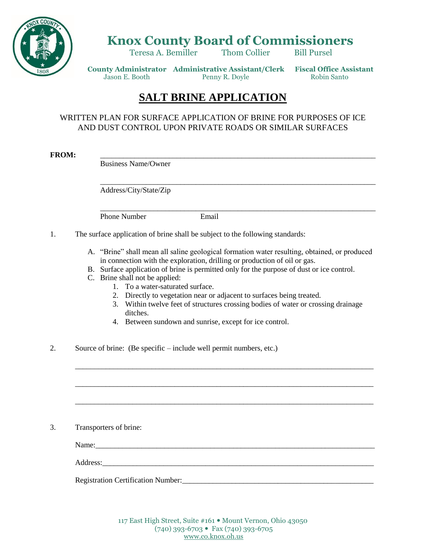

## **Knox County Board of Commissioners**

Teresa A. Bemiller Thom Collier Bill Pursel

 **County Administrator Administrative Assistant/Clerk Fiscal Office Assistant** Jason E. Booth Penny R. Doyle Robin Santo

## **SALT BRINE APPLICATION**

## WRITTEN PLAN FOR SURFACE APPLICATION OF BRINE FOR PURPOSES OF ICE AND DUST CONTROL UPON PRIVATE ROADS OR SIMILAR SURFACES

**FROM:** \_\_\_\_\_\_\_\_\_\_\_\_\_\_\_\_\_\_\_\_\_\_\_\_\_\_\_\_\_\_\_\_\_\_\_\_\_\_\_\_\_\_\_\_\_\_\_\_\_\_\_\_\_\_\_\_\_\_\_\_\_\_\_\_\_\_\_\_\_\_\_\_

Business Name/Owner

Address/City/State/Zip

Phone Number **Email** 

1. The surface application of brine shall be subject to the following standards:

A. "Brine" shall mean all saline geological formation water resulting, obtained, or produced in connection with the exploration, drilling or production of oil or gas.

\_\_\_\_\_\_\_\_\_\_\_\_\_\_\_\_\_\_\_\_\_\_\_\_\_\_\_\_\_\_\_\_\_\_\_\_\_\_\_\_\_\_\_\_\_\_\_\_\_\_\_\_\_\_\_\_\_\_\_\_\_\_\_\_\_\_\_\_\_\_\_\_

\_\_\_\_\_\_\_\_\_\_\_\_\_\_\_\_\_\_\_\_\_\_\_\_\_\_\_\_\_\_\_\_\_\_\_\_\_\_\_\_\_\_\_\_\_\_\_\_\_\_\_\_\_\_\_\_\_\_\_\_\_\_\_\_\_\_\_\_\_\_\_\_

- B. Surface application of brine is permitted only for the purpose of dust or ice control.
- C. Brine shall not be applied:
	- 1. To a water-saturated surface.
	- 2. Directly to vegetation near or adjacent to surfaces being treated.

\_\_\_\_\_\_\_\_\_\_\_\_\_\_\_\_\_\_\_\_\_\_\_\_\_\_\_\_\_\_\_\_\_\_\_\_\_\_\_\_\_\_\_\_\_\_\_\_\_\_\_\_\_\_\_\_\_\_\_\_\_\_\_\_\_\_\_\_\_\_\_\_\_\_\_\_\_\_

\_\_\_\_\_\_\_\_\_\_\_\_\_\_\_\_\_\_\_\_\_\_\_\_\_\_\_\_\_\_\_\_\_\_\_\_\_\_\_\_\_\_\_\_\_\_\_\_\_\_\_\_\_\_\_\_\_\_\_\_\_\_\_\_\_\_\_\_\_\_\_\_\_\_\_\_\_\_

\_\_\_\_\_\_\_\_\_\_\_\_\_\_\_\_\_\_\_\_\_\_\_\_\_\_\_\_\_\_\_\_\_\_\_\_\_\_\_\_\_\_\_\_\_\_\_\_\_\_\_\_\_\_\_\_\_\_\_\_\_\_\_\_\_\_\_\_\_\_\_\_\_\_\_\_\_\_

- 3. Within twelve feet of structures crossing bodies of water or crossing drainage ditches.
- 4. Between sundown and sunrise, except for ice control.
- 2. Source of brine: (Be specific include well permit numbers, etc.)

3. Transporters of brine:

Name:

Address:

Registration Certification Number:\_\_\_\_\_\_\_\_\_\_\_\_\_\_\_\_\_\_\_\_\_\_\_\_\_\_\_\_\_\_\_\_\_\_\_\_\_\_\_\_\_\_\_\_\_\_\_\_\_\_